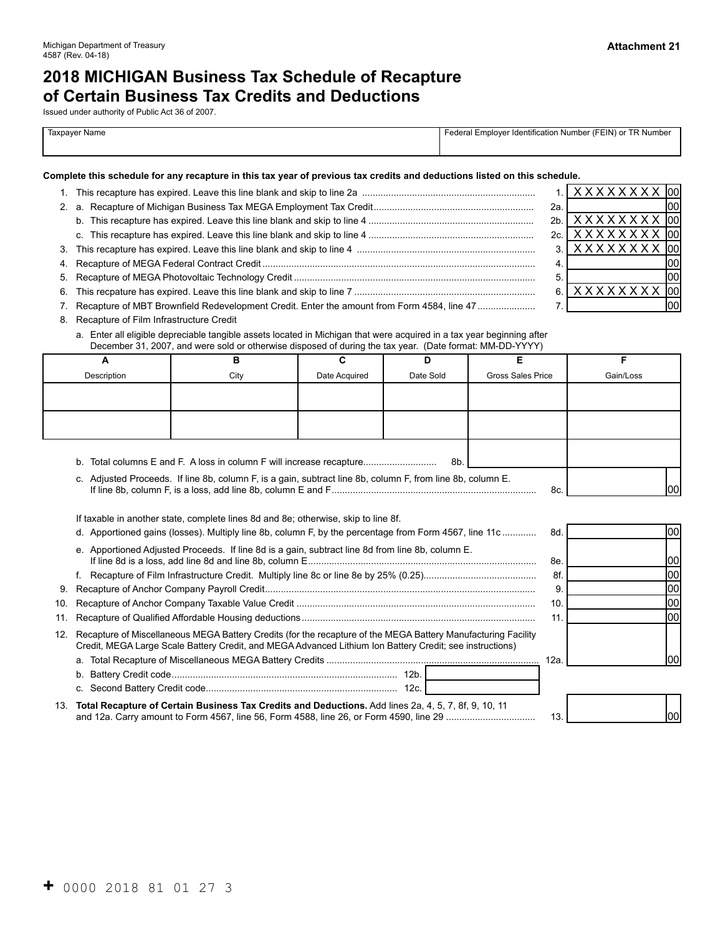# **2018 MICHIGAN Business Tax Schedule of Recapture of Certain Business Tax Credits and Deductions**

Issued under authority of Public Act 36 of 2007.

| Taxpayer Name | Federal Employer Identification Number (FEIN) or TR Number |
|---------------|------------------------------------------------------------|
|               |                                                            |

#### **Complete this schedule for any recapture in this tax year of previous tax credits and deductions listed on this schedule.**

|                                                                                               |     | $1$ . $\overline{)$ X X X X X X X $\overline{)}$ tool |  |
|-----------------------------------------------------------------------------------------------|-----|-------------------------------------------------------|--|
|                                                                                               | 2a. |                                                       |  |
|                                                                                               |     | $2b.$ $\mid$ X X X X X X X X $\mid$ 00                |  |
|                                                                                               |     | $2c.$ $\mid$ X X X X X X X X $\mid$ 00                |  |
|                                                                                               |     | $3$ $\mid$ X X X X X X X $\mid$ 00 $\mid$             |  |
|                                                                                               |     |                                                       |  |
|                                                                                               |     |                                                       |  |
|                                                                                               |     | $6$ . $\overline{XXXXXXX}$                            |  |
| 7. Recapture of MBT Brownfield Redevelopment Credit. Enter the amount from Form 4584, line 47 |     |                                                       |  |

- 8. Recapture of Film Infrastructure Credit
	- a. Enter all eligible depreciable tangible assets located in Michigan that were acquired in a tax year beginning after December 31, 2007, and were sold or otherwise disposed of during the tax year. (Date format: MM-DD-YYYY)

|             | в                                                                                                          |               |           |                          |           |
|-------------|------------------------------------------------------------------------------------------------------------|---------------|-----------|--------------------------|-----------|
| Description | City                                                                                                       | Date Acquired | Date Sold | <b>Gross Sales Price</b> | Gain/Loss |
|             |                                                                                                            |               |           |                          |           |
|             |                                                                                                            |               |           |                          |           |
|             |                                                                                                            |               |           |                          |           |
|             |                                                                                                            |               |           |                          |           |
|             |                                                                                                            |               |           |                          |           |
|             | b. Total columns E and F. A loss in column F will increase recapture                                       |               | 8b.       |                          |           |
|             | c. Adjusted Proceeds. If line 8b, column F, is a gain, subtract line 8b, column F, from line 8b, column E. |               |           | 8с.                      | lool      |

| If taxable in another state, complete lines 8d and 8e; otherwise, skip to line 8f. |  |
|------------------------------------------------------------------------------------|--|

- d. Apportioned gains (losses). Multiply line 8b, column F, by the percentage from Form 4567, line 11c ............. 8d.
- e. Apportioned Adjusted Proceeds. If line 8d is a gain, subtract line 8d from line 8b, column E. If line 8d is a loss, add line 8d and line 8b, column E....................................................................................... 8e.
- f. Recapture of Film Infrastructure Credit. Multiply line 8c or line 8e by 25% (0.25)........................................... 8f.
- 9. Recapture of Anchor Company Payroll Credit....................................................................................................... 9.
- 10. Recapture of Anchor Company Taxable Value Credit ........................................................................................... 10.
- 11. Recapture of Qualified Affordable Housing deductions......................................................................................... 11.
- 12. Recapture of Miscellaneous MEGA Battery Credits (for the recapture of the MEGA Battery Manufacturing Facility Credit, MEGA Large Scale Battery Credit, and MEGA Advanced Lithium Ion Battery Credit; see instructions) a. Total Recapture of Miscellaneous MEGA Battery Credits ................................................................................. 12a.
	- b. Battery Credit code...................................................................................... 12b. c. Second Battery Credit code......................................................................... 12c.
- 13. **Total Recapture of Certain Business Tax Credits and Deductions.** Add lines 2a, 4, 5, 7, 8f, 9, 10, 11 and 12a. Carry amount to Form 4567, line 56, Form 4588, line 26, or Form 4590, line 29 .................................. 13.



| п.<br>٠ |  |  |
|---------|--|--|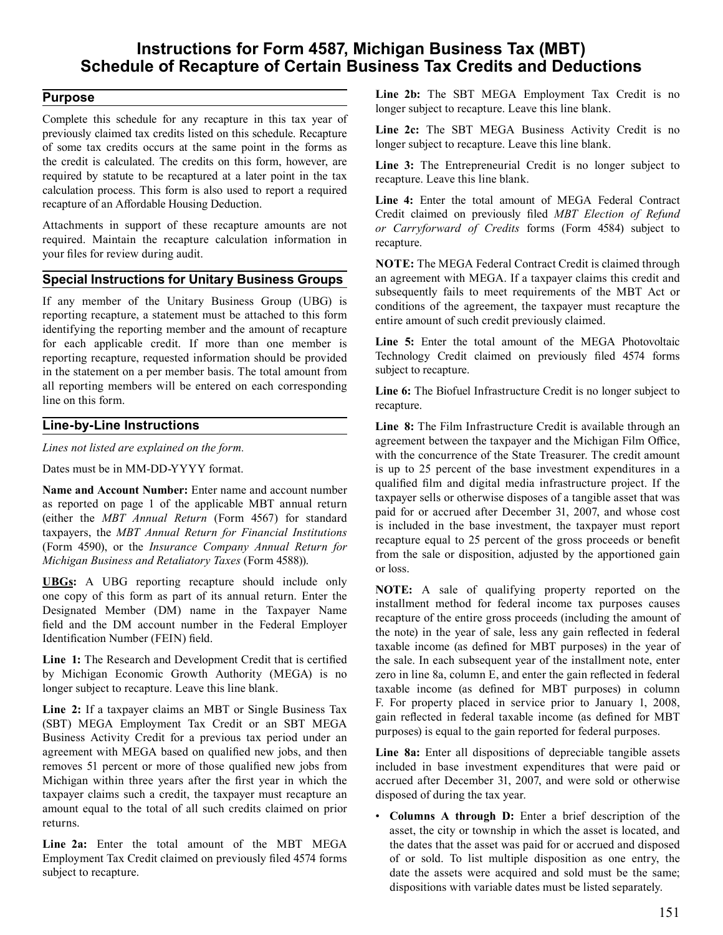# **Instructions for Form 4587, Michigan Business Tax (MBT) Schedule of Recapture of Certain Business Tax Credits and Deductions**

# **Purpose**

 Complete this schedule for any recapture in this tax year of previously claimed tax credits listed on this schedule. Recapture of some tax credits occurs at the same point in the forms as the credit is calculated. The credits on this form, however, are required by statute to be recaptured at a later point in the tax calculation process. This form is also used to report a required recapture of an Affordable Housing Deduction.

 Attachments in support of these recapture amounts are not required. Maintain the recapture calculation information in your files for review during audit.

## **Special Instructions for Unitary Business Groups**

 If any member of the Unitary Business Group (UBG) is reporting recapture, a statement must be attached to this form identifying the reporting member and the amount of recapture for each applicable credit. If more than one member is reporting recapture, requested information should be provided in the statement on a per member basis. The total amount from all reporting members will be entered on each corresponding line on this form.

### **Line-by-Line Instructions**

*Lines not listed are explained on the form.* 

 Dates must be in MM-DD-YYYY format.

 **Name and Account Number:** Enter name and account number as reported on page 1 of the applicable MBT annual return (either the *MBT Annual Return* (Form 4567) for standard taxpayers, the *MBT Annual Return for Financial Institutions*  (Form 4590), or the *Insurance Company Annual Return for Michigan Business and Retaliatory Taxes* (Form 4588)).

 **UBGs:** A UBG reporting recapture should include only one copy of this form as part of its annual return. Enter the Designated Member (DM) name in the Taxpayer Name field and the DM account number in the Federal Employer Identification Number (FEIN) field.

 **Line 1:** The Research and Development Credit that is certified by Michigan Economic Growth Authority (MEGA) is no longer subject to recapture. Leave this line blank.

 **Line 2:** If a taxpayer claims an MBT or Single Business Tax (SBT) MEGA Employment Tax Credit or an SBT MEGA Business Activity Credit for a previous tax period under an agreement with MEGA based on qualified new jobs, and then removes 51 percent or more of those qualified new jobs from Michigan within three years after the first year in which the taxpayer claims such a credit, the taxpayer must recapture an amount equal to the total of all such credits claimed on prior returns.

 **Line 2a:** Enter the total amount of the MBT MEGA Employment Tax Credit claimed on previously filed 4574 forms subject to recapture.

 **Line 2b:** The SBT MEGA Employment Tax Credit is no longer subject to recapture. Leave this line blank.

 **Line 2c:** The SBT MEGA Business Activity Credit is no longer subject to recapture. Leave this line blank.

 **Line 3:** The Entrepreneurial Credit is no longer subject to recapture. Leave this line blank.

 **Line 4:** Enter the total amount of MEGA Federal Contract Credit claimed on previously filed *MBT Election of Refund or Carryforward of Credits* forms (Form 4584) subject to recapture.

 **NOTE:** The MEGA Federal Contract Credit is claimed through an agreement with MEGA. If a taxpayer claims this credit and subsequently fails to meet requirements of the MBT Act or conditions of the agreement, the taxpayer must recapture the entire amount of such credit previously claimed.

 **Line 5:** Enter the total amount of the MEGA Photovoltaic Technology Credit claimed on previously filed 4574 forms subject to recapture.

 **Line 6:** The Biofuel Infrastructure Credit is no longer subject to recapture.

 **Line 8:** The Film Infrastructure Credit is available through an agreement between the taxpayer and the Michigan Film Office, with the concurrence of the State Treasurer. The credit amount is up to 25 percent of the base investment expenditures in a qualified film and digital media infrastructure project. If the taxpayer sells or otherwise disposes of a tangible asset that was paid for or accrued after December 31, 2007, and whose cost is included in the base investment, the taxpayer must report recapture equal to 25 percent of the gross proceeds or benefit from the sale or disposition, adjusted by the apportioned gain or loss.

 **NOTE:** A sale of qualifying property reported on the installment method for federal income tax purposes causes recapture of the entire gross proceeds (including the amount of the note) in the year of sale, less any gain reflected in federal taxable income (as defined for MBT purposes) in the year of the sale. In each subsequent year of the installment note, enter zero in line 8a, column E, and enter the gain reflected in federal taxable income (as defined for MBT purposes) in column F. For property placed in service prior to January 1, 2008, gain reflected in federal taxable income (as defined for MBT purposes) is equal to the gain reported for federal purposes.

 **Line 8a:** Enter all dispositions of depreciable tangible assets included in base investment expenditures that were paid or accrued after December 31, 2007, and were sold or otherwise disposed of during the tax year.

 • **Columns A through D:** Enter a brief description of the asset, the city or township in which the asset is located, and the dates that the asset was paid for or accrued and disposed of or sold. To list multiple disposition as one entry, the date the assets were acquired and sold must be the same; dispositions with variable dates must be listed separately.